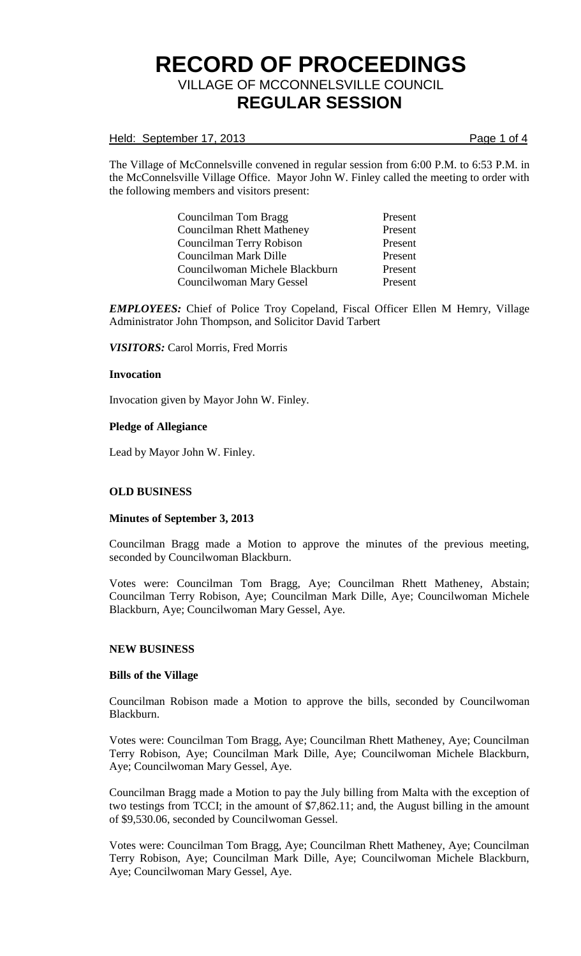### Held: September 17, 2013 **Page 1 of 4**

The Village of McConnelsville convened in regular session from 6:00 P.M. to 6:53 P.M. in the McConnelsville Village Office. Mayor John W. Finley called the meeting to order with the following members and visitors present:

> Councilman Tom Bragg Present Councilman Rhett Matheney Present Councilman Terry Robison Present Councilman Mark Dille Present Councilwoman Michele Blackburn Present Councilwoman Mary Gessel Present

*EMPLOYEES:* Chief of Police Troy Copeland, Fiscal Officer Ellen M Hemry, Village Administrator John Thompson, and Solicitor David Tarbert

*VISITORS:* Carol Morris, Fred Morris

#### **Invocation**

Invocation given by Mayor John W. Finley.

#### **Pledge of Allegiance**

Lead by Mayor John W. Finley.

# **OLD BUSINESS**

#### **Minutes of September 3, 2013**

Councilman Bragg made a Motion to approve the minutes of the previous meeting, seconded by Councilwoman Blackburn.

Votes were: Councilman Tom Bragg, Aye; Councilman Rhett Matheney, Abstain; Councilman Terry Robison, Aye; Councilman Mark Dille, Aye; Councilwoman Michele Blackburn, Aye; Councilwoman Mary Gessel, Aye.

#### **NEW BUSINESS**

#### **Bills of the Village**

Councilman Robison made a Motion to approve the bills, seconded by Councilwoman Blackburn.

Votes were: Councilman Tom Bragg, Aye; Councilman Rhett Matheney, Aye; Councilman Terry Robison, Aye; Councilman Mark Dille, Aye; Councilwoman Michele Blackburn, Aye; Councilwoman Mary Gessel, Aye.

Councilman Bragg made a Motion to pay the July billing from Malta with the exception of two testings from TCCI; in the amount of \$7,862.11; and, the August billing in the amount of \$9,530.06, seconded by Councilwoman Gessel.

Votes were: Councilman Tom Bragg, Aye; Councilman Rhett Matheney, Aye; Councilman Terry Robison, Aye; Councilman Mark Dille, Aye; Councilwoman Michele Blackburn, Aye; Councilwoman Mary Gessel, Aye.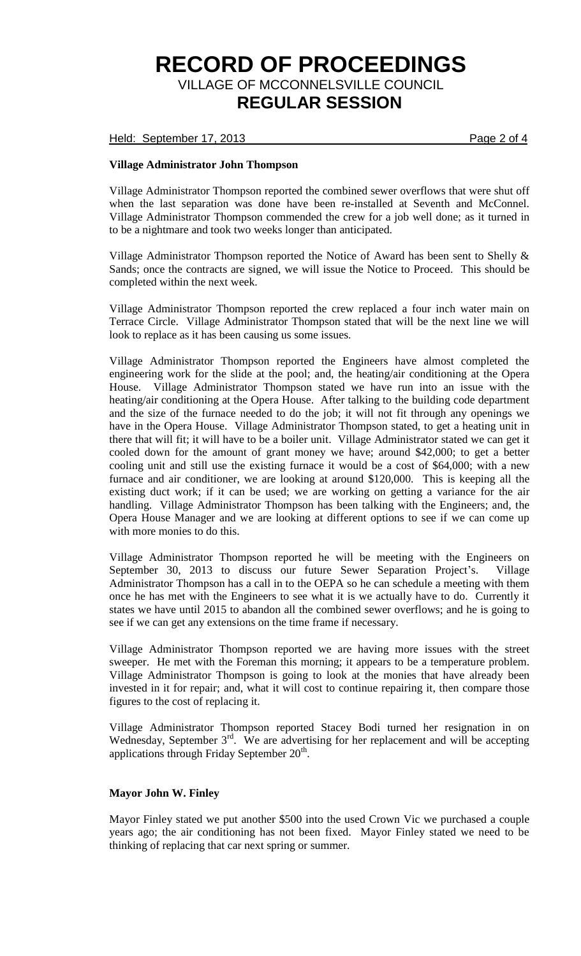Held: September 17, 2013 **Page 2 of 4** 

### **Village Administrator John Thompson**

Village Administrator Thompson reported the combined sewer overflows that were shut off when the last separation was done have been re-installed at Seventh and McConnel. Village Administrator Thompson commended the crew for a job well done; as it turned in to be a nightmare and took two weeks longer than anticipated.

Village Administrator Thompson reported the Notice of Award has been sent to Shelly & Sands; once the contracts are signed, we will issue the Notice to Proceed. This should be completed within the next week.

Village Administrator Thompson reported the crew replaced a four inch water main on Terrace Circle. Village Administrator Thompson stated that will be the next line we will look to replace as it has been causing us some issues.

Village Administrator Thompson reported the Engineers have almost completed the engineering work for the slide at the pool; and, the heating/air conditioning at the Opera House. Village Administrator Thompson stated we have run into an issue with the heating/air conditioning at the Opera House. After talking to the building code department and the size of the furnace needed to do the job; it will not fit through any openings we have in the Opera House. Village Administrator Thompson stated, to get a heating unit in there that will fit; it will have to be a boiler unit. Village Administrator stated we can get it cooled down for the amount of grant money we have; around \$42,000; to get a better cooling unit and still use the existing furnace it would be a cost of \$64,000; with a new furnace and air conditioner, we are looking at around \$120,000. This is keeping all the existing duct work; if it can be used; we are working on getting a variance for the air handling. Village Administrator Thompson has been talking with the Engineers; and, the Opera House Manager and we are looking at different options to see if we can come up with more monies to do this.

Village Administrator Thompson reported he will be meeting with the Engineers on September 30, 2013 to discuss our future Sewer Separation Project's. Village Administrator Thompson has a call in to the OEPA so he can schedule a meeting with them once he has met with the Engineers to see what it is we actually have to do. Currently it states we have until 2015 to abandon all the combined sewer overflows; and he is going to see if we can get any extensions on the time frame if necessary.

Village Administrator Thompson reported we are having more issues with the street sweeper. He met with the Foreman this morning; it appears to be a temperature problem. Village Administrator Thompson is going to look at the monies that have already been invested in it for repair; and, what it will cost to continue repairing it, then compare those figures to the cost of replacing it.

Village Administrator Thompson reported Stacey Bodi turned her resignation in on Wednesday, September 3<sup>rd</sup>. We are advertising for her replacement and will be accepting applications through Friday September  $20<sup>th</sup>$ .

#### **Mayor John W. Finley**

Mayor Finley stated we put another \$500 into the used Crown Vic we purchased a couple years ago; the air conditioning has not been fixed. Mayor Finley stated we need to be thinking of replacing that car next spring or summer.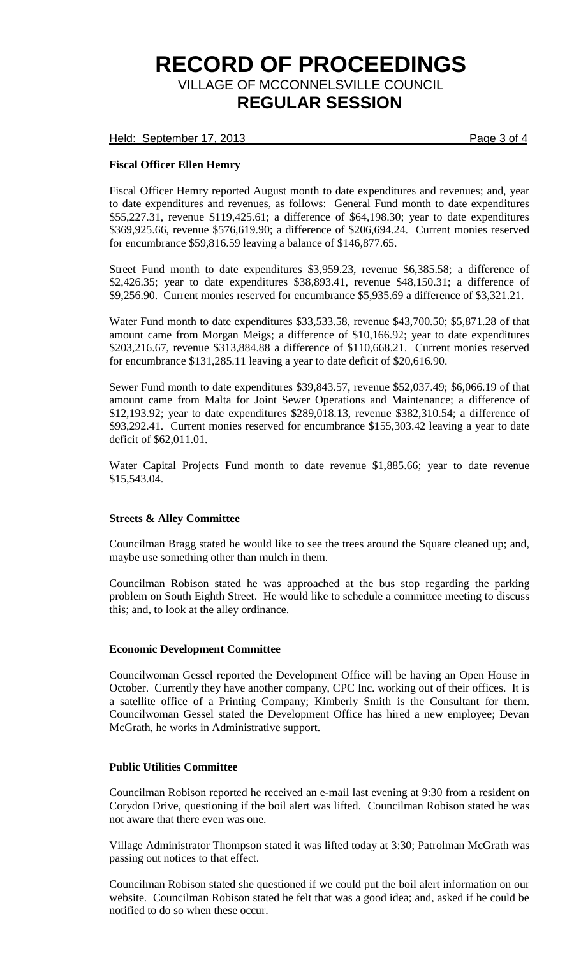Held: September 17, 2013 **Page 3 of 4** 

# **Fiscal Officer Ellen Hemry**

Fiscal Officer Hemry reported August month to date expenditures and revenues; and, year to date expenditures and revenues, as follows: General Fund month to date expenditures \$55,227.31, revenue \$119,425.61; a difference of \$64,198.30; year to date expenditures \$369,925.66, revenue \$576,619.90; a difference of \$206,694.24. Current monies reserved for encumbrance \$59,816.59 leaving a balance of \$146,877.65.

Street Fund month to date expenditures \$3,959.23, revenue \$6,385.58; a difference of \$2,426.35; year to date expenditures \$38,893.41, revenue \$48,150.31; a difference of \$9,256.90. Current monies reserved for encumbrance \$5,935.69 a difference of \$3,321.21.

Water Fund month to date expenditures \$33,533.58, revenue \$43,700.50; \$5,871.28 of that amount came from Morgan Meigs; a difference of \$10,166.92; year to date expenditures \$203,216.67, revenue \$313,884.88 a difference of \$110,668.21. Current monies reserved for encumbrance \$131,285.11 leaving a year to date deficit of \$20,616.90.

Sewer Fund month to date expenditures \$39,843.57, revenue \$52,037.49; \$6,066.19 of that amount came from Malta for Joint Sewer Operations and Maintenance; a difference of \$12,193.92; year to date expenditures \$289,018.13, revenue \$382,310.54; a difference of \$93,292.41. Current monies reserved for encumbrance \$155,303.42 leaving a year to date deficit of \$62,011.01.

Water Capital Projects Fund month to date revenue \$1,885.66; year to date revenue \$15,543.04.

# **Streets & Alley Committee**

Councilman Bragg stated he would like to see the trees around the Square cleaned up; and, maybe use something other than mulch in them.

Councilman Robison stated he was approached at the bus stop regarding the parking problem on South Eighth Street. He would like to schedule a committee meeting to discuss this; and, to look at the alley ordinance.

# **Economic Development Committee**

Councilwoman Gessel reported the Development Office will be having an Open House in October. Currently they have another company, CPC Inc. working out of their offices. It is a satellite office of a Printing Company; Kimberly Smith is the Consultant for them. Councilwoman Gessel stated the Development Office has hired a new employee; Devan McGrath, he works in Administrative support.

### **Public Utilities Committee**

Councilman Robison reported he received an e-mail last evening at 9:30 from a resident on Corydon Drive, questioning if the boil alert was lifted. Councilman Robison stated he was not aware that there even was one.

Village Administrator Thompson stated it was lifted today at 3:30; Patrolman McGrath was passing out notices to that effect.

Councilman Robison stated she questioned if we could put the boil alert information on our website. Councilman Robison stated he felt that was a good idea; and, asked if he could be notified to do so when these occur.